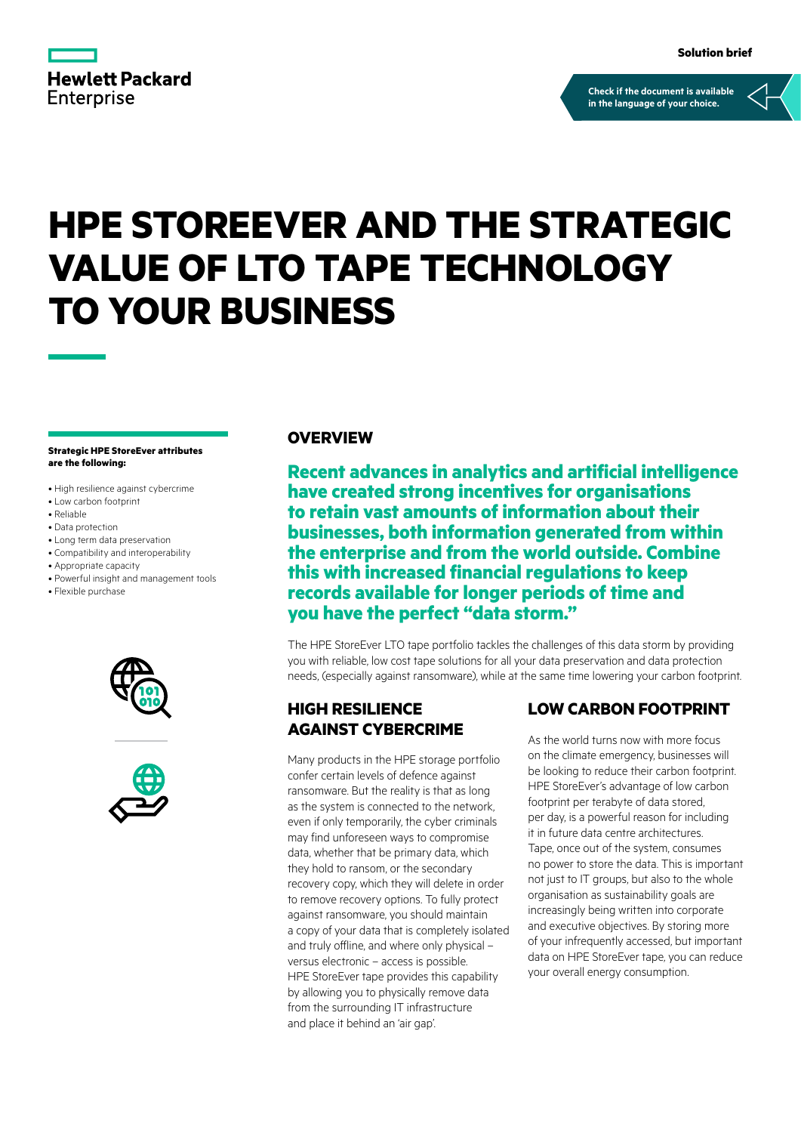

**[Check if the document is available](https://psnow.ext.hpe.com/collection-resources/a00119758EEW)  in the language of your choice.**

# **HPE STOREEVER AND THE STRATEGIC VALUE OF LTO TAPE TECHNOLOGY TO YOUR BUSINESS**

#### **Strategic HPE StoreEver attributes are the following:**

- High resilience against cybercrime
- Low carbon footprint
- Reliable
- Data protection
- Long term data preservation
- Compatibility and interoperability
- Appropriate capacity
- Powerful insight and management tools
- Flexible purchase





#### **OVERVIEW**

**Recent advances in analytics and artificial intelligence have created strong incentives for organisations to retain vast amounts of information about their businesses, both information generated from within the enterprise and from the world outside. Combine this with increased financial regulations to keep records available for longer periods of time and you have the perfect "data storm."** 

The HPE StoreEver LTO tape portfolio tackles the challenges of this data storm by providing you with reliable, low cost tape solutions for all your data preservation and data protection needs, (especially against ransomware), while at the same time lowering your carbon footprint.

## **HIGH RESILIENCE AGAINST CYBERCRIME**

Many products in the HPE storage portfolio confer certain levels of defence against ransomware. But the reality is that as long as the system is connected to the network, even if only temporarily, the cyber criminals may find unforeseen ways to compromise data, whether that be primary data, which they hold to ransom, or the secondary recovery copy, which they will delete in order to remove recovery options. To fully protect against ransomware, you should maintain a copy of your data that is completely isolated and truly offline, and where only physical – versus electronic – access is possible. HPE StoreEver tape provides this capability by allowing you to physically remove data from the surrounding IT infrastructure and place it behind an 'air gap'.

### **LOW CARBON FOOTPRINT**

As the world turns now with more focus on the climate emergency, businesses will be looking to reduce their carbon footprint. HPE StoreEver's advantage of low carbon footprint per terabyte of data stored, per day, is a powerful reason for including it in future data centre architectures. Tape, once out of the system, consumes no power to store the data. This is important not just to IT groups, but also to the whole organisation as sustainability goals are increasingly being written into corporate and executive objectives. By storing more of your infrequently accessed, but important data on HPE StoreEver tape, you can reduce your overall energy consumption.